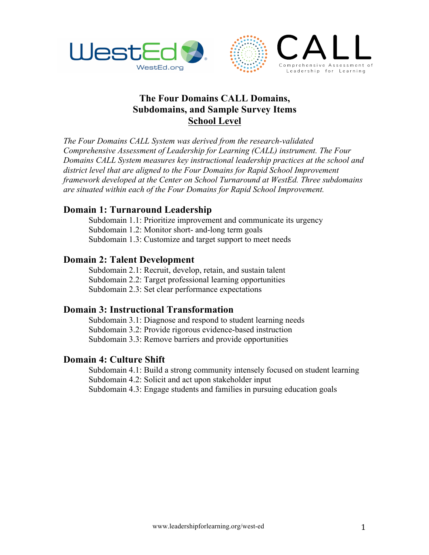



# **The Four Domains CALL Domains, Subdomains, and Sample Survey Items School Level**

*The Four Domains CALL System was derived from the research-validated Comprehensive Assessment of Leadership for Learning (CALL) instrument. The Four Domains CALL System measures key instructional leadership practices at the school and district level that are aligned to the Four Domains for Rapid School Improvement framework developed at the Center on School Turnaround at WestEd. Three subdomains are situated within each of the Four Domains for Rapid School Improvement.*

### **Domain 1: Turnaround Leadership**

Subdomain 1.1: Prioritize improvement and communicate its urgency Subdomain 1.2: Monitor short- and-long term goals Subdomain 1.3: Customize and target support to meet needs

### **Domain 2: Talent Development**

Subdomain 2.1: Recruit, develop, retain, and sustain talent Subdomain 2.2: Target professional learning opportunities Subdomain 2.3: Set clear performance expectations

## **Domain 3: Instructional Transformation**

Subdomain 3.1: Diagnose and respond to student learning needs Subdomain 3.2: Provide rigorous evidence-based instruction Subdomain 3.3: Remove barriers and provide opportunities

### **Domain 4: Culture Shift**

Subdomain 4.1: Build a strong community intensely focused on student learning Subdomain 4.2: Solicit and act upon stakeholder input Subdomain 4.3: Engage students and families in pursuing education goals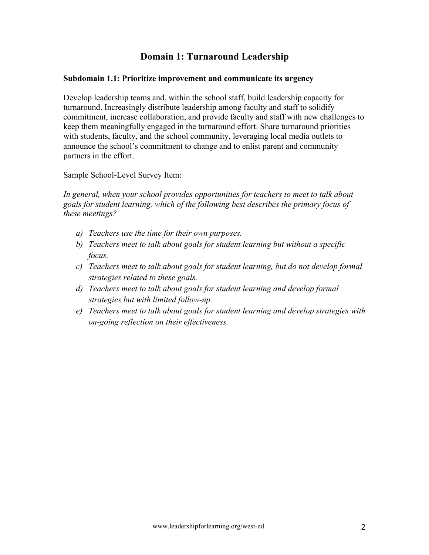## **Domain 1: Turnaround Leadership**

### **Subdomain 1.1: Prioritize improvement and communicate its urgency**

Develop leadership teams and, within the school staff, build leadership capacity for turnaround. Increasingly distribute leadership among faculty and staff to solidify commitment, increase collaboration, and provide faculty and staff with new challenges to keep them meaningfully engaged in the turnaround effort. Share turnaround priorities with students, faculty, and the school community, leveraging local media outlets to announce the school's commitment to change and to enlist parent and community partners in the effort.

Sample School-Level Survey Item:

*In general, when your school provides opportunities for teachers to meet to talk about goals for student learning, which of the following best describes the primary focus of these meetings?*

- *a) Teachers use the time for their own purposes.*
- *b) Teachers meet to talk about goals for student learning but without a specific focus.*
- *c) Teachers meet to talk about goals for student learning, but do not develop formal strategies related to these goals.*
- *d) Teachers meet to talk about goals for student learning and develop formal strategies but with limited follow-up.*
- *e) Teachers meet to talk about goals for student learning and develop strategies with on-going reflection on their effectiveness.*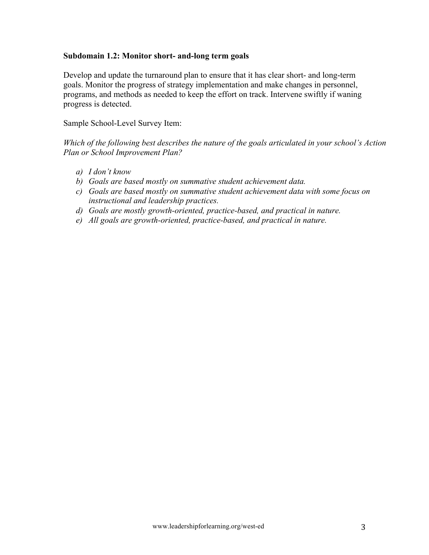#### **Subdomain 1.2: Monitor short- and-long term goals**

Develop and update the turnaround plan to ensure that it has clear short- and long-term goals. Monitor the progress of strategy implementation and make changes in personnel, programs, and methods as needed to keep the effort on track. Intervene swiftly if waning progress is detected.

Sample School-Level Survey Item:

*Which of the following best describes the nature of the goals articulated in your school's Action Plan or School Improvement Plan?*

- *a) I don't know*
- *b) Goals are based mostly on summative student achievement data.*
- *c) Goals are based mostly on summative student achievement data with some focus on instructional and leadership practices.*
- *d) Goals are mostly growth-oriented, practice-based, and practical in nature.*
- *e) All goals are growth-oriented, practice-based, and practical in nature.*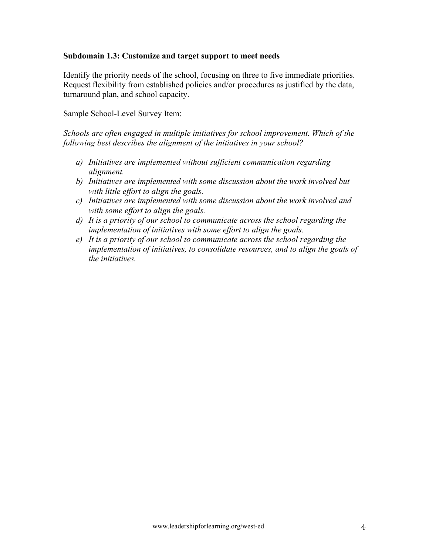### **Subdomain 1.3: Customize and target support to meet needs**

Identify the priority needs of the school, focusing on three to five immediate priorities. Request flexibility from established policies and/or procedures as justified by the data, turnaround plan, and school capacity.

Sample School-Level Survey Item:

*Schools are often engaged in multiple initiatives for school improvement. Which of the following best describes the alignment of the initiatives in your school?*

- *a) Initiatives are implemented without sufficient communication regarding alignment.*
- *b) Initiatives are implemented with some discussion about the work involved but with little effort to align the goals.*
- *c) Initiatives are implemented with some discussion about the work involved and with some effort to align the goals.*
- *d) It is a priority of our school to communicate across the school regarding the implementation of initiatives with some effort to align the goals.*
- *e) It is a priority of our school to communicate across the school regarding the implementation of initiatives, to consolidate resources, and to align the goals of the initiatives.*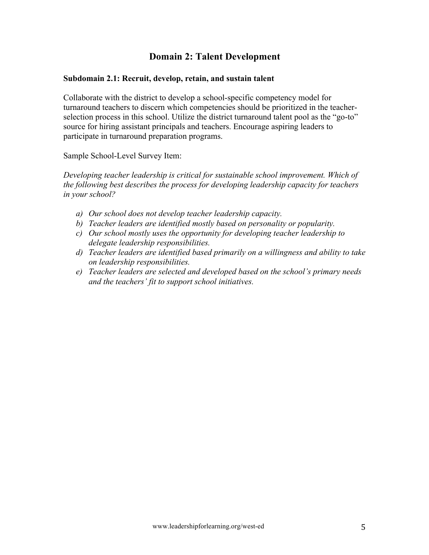## **Domain 2: Talent Development**

#### **Subdomain 2.1: Recruit, develop, retain, and sustain talent**

Collaborate with the district to develop a school-specific competency model for turnaround teachers to discern which competencies should be prioritized in the teacherselection process in this school. Utilize the district turnaround talent pool as the "go-to" source for hiring assistant principals and teachers. Encourage aspiring leaders to participate in turnaround preparation programs.

Sample School-Level Survey Item:

*Developing teacher leadership is critical for sustainable school improvement. Which of the following best describes the process for developing leadership capacity for teachers in your school?*

- *a) Our school does not develop teacher leadership capacity.*
- *b) Teacher leaders are identified mostly based on personality or popularity.*
- *c) Our school mostly uses the opportunity for developing teacher leadership to delegate leadership responsibilities.*
- *d) Teacher leaders are identified based primarily on a willingness and ability to take on leadership responsibilities.*
- *e) Teacher leaders are selected and developed based on the school's primary needs and the teachers' fit to support school initiatives.*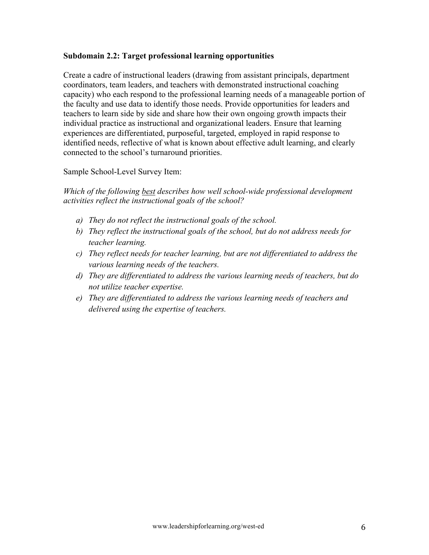### **Subdomain 2.2: Target professional learning opportunities**

Create a cadre of instructional leaders (drawing from assistant principals, department coordinators, team leaders, and teachers with demonstrated instructional coaching capacity) who each respond to the professional learning needs of a manageable portion of the faculty and use data to identify those needs. Provide opportunities for leaders and teachers to learn side by side and share how their own ongoing growth impacts their individual practice as instructional and organizational leaders. Ensure that learning experiences are differentiated, purposeful, targeted, employed in rapid response to identified needs, reflective of what is known about effective adult learning, and clearly connected to the school's turnaround priorities.

Sample School-Level Survey Item:

*Which of the following best describes how well school-wide professional development activities reflect the instructional goals of the school?*

- *a) They do not reflect the instructional goals of the school.*
- *b) They reflect the instructional goals of the school, but do not address needs for teacher learning.*
- *c) They reflect needs for teacher learning, but are not differentiated to address the various learning needs of the teachers.*
- *d) They are differentiated to address the various learning needs of teachers, but do not utilize teacher expertise.*
- *e) They are differentiated to address the various learning needs of teachers and delivered using the expertise of teachers.*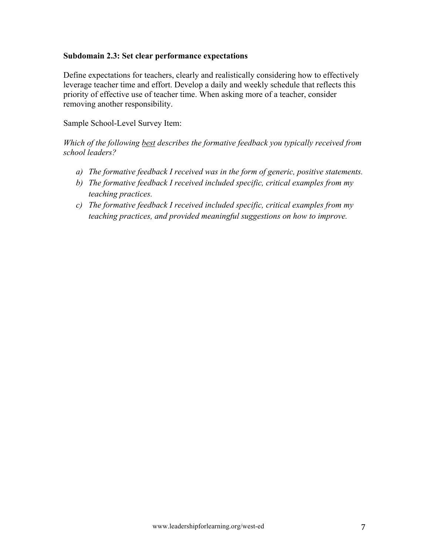### **Subdomain 2.3: Set clear performance expectations**

Define expectations for teachers, clearly and realistically considering how to effectively leverage teacher time and effort. Develop a daily and weekly schedule that reflects this priority of effective use of teacher time. When asking more of a teacher, consider removing another responsibility.

Sample School-Level Survey Item:

*Which of the following best describes the formative feedback you typically received from school leaders?*

- *a) The formative feedback I received was in the form of generic, positive statements.*
- *b) The formative feedback I received included specific, critical examples from my teaching practices.*
- *c) The formative feedback I received included specific, critical examples from my teaching practices, and provided meaningful suggestions on how to improve.*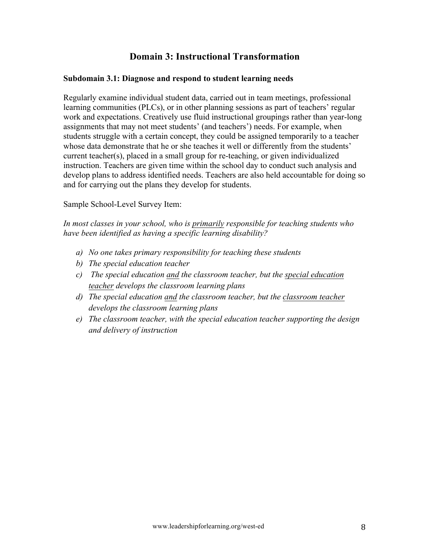## **Domain 3: Instructional Transformation**

### **Subdomain 3.1: Diagnose and respond to student learning needs**

Regularly examine individual student data, carried out in team meetings, professional learning communities (PLCs), or in other planning sessions as part of teachers' regular work and expectations. Creatively use fluid instructional groupings rather than year-long assignments that may not meet students' (and teachers') needs. For example, when students struggle with a certain concept, they could be assigned temporarily to a teacher whose data demonstrate that he or she teaches it well or differently from the students' current teacher(s), placed in a small group for re-teaching, or given individualized instruction. Teachers are given time within the school day to conduct such analysis and develop plans to address identified needs. Teachers are also held accountable for doing so and for carrying out the plans they develop for students.

Sample School-Level Survey Item:

*In most classes in your school, who is primarily responsible for teaching students who have been identified as having a specific learning disability?*

- *a) No one takes primary responsibility for teaching these students*
- *b) The special education teacher*
- *c) The special education and the classroom teacher, but the special education teacher develops the classroom learning plans*
- *d) The special education and the classroom teacher, but the classroom teacher develops the classroom learning plans*
- *e) The classroom teacher, with the special education teacher supporting the design and delivery of instruction*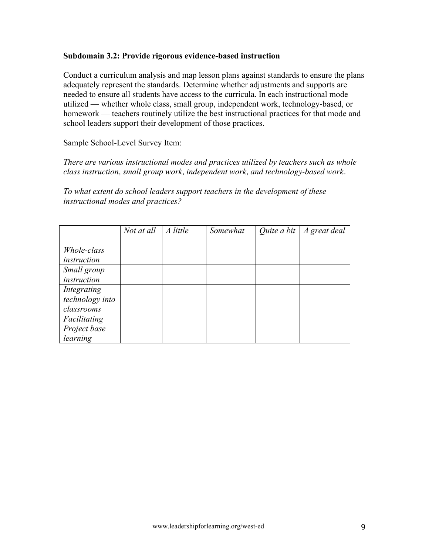### **Subdomain 3.2: Provide rigorous evidence-based instruction**

Conduct a curriculum analysis and map lesson plans against standards to ensure the plans adequately represent the standards. Determine whether adjustments and supports are needed to ensure all students have access to the curricula. In each instructional mode utilized — whether whole class, small group, independent work, technology-based, or homework — teachers routinely utilize the best instructional practices for that mode and school leaders support their development of those practices.

#### Sample School-Level Survey Item:

*There are various instructional modes and practices utilized by teachers such as whole class instruction, small group work, independent work, and technology-based work.*

*To what extent do school leaders support teachers in the development of these instructional modes and practices?*

|                 | Not at all | A little | Somewhat | Quite a bit $\mid$ A great deal |
|-----------------|------------|----------|----------|---------------------------------|
|                 |            |          |          |                                 |
| Whole-class     |            |          |          |                                 |
| instruction     |            |          |          |                                 |
| Small group     |            |          |          |                                 |
| instruction     |            |          |          |                                 |
| Integrating     |            |          |          |                                 |
| technology into |            |          |          |                                 |
| classrooms      |            |          |          |                                 |
| Facilitating    |            |          |          |                                 |
| Project base    |            |          |          |                                 |
| learning        |            |          |          |                                 |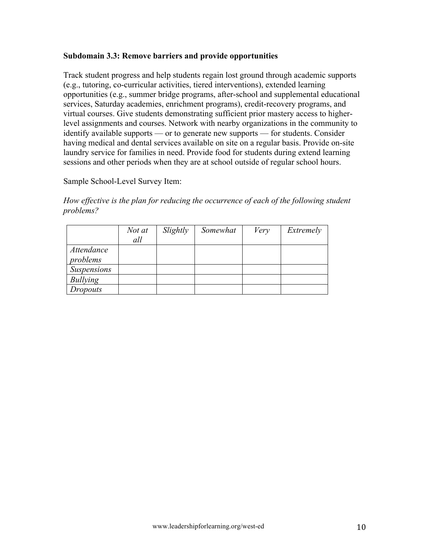### **Subdomain 3.3: Remove barriers and provide opportunities**

Track student progress and help students regain lost ground through academic supports (e.g., tutoring, co-curricular activities, tiered interventions), extended learning opportunities (e.g., summer bridge programs, after-school and supplemental educational services, Saturday academies, enrichment programs), credit-recovery programs, and virtual courses. Give students demonstrating sufficient prior mastery access to higherlevel assignments and courses. Network with nearby organizations in the community to identify available supports — or to generate new supports — for students. Consider having medical and dental services available on site on a regular basis. Provide on-site laundry service for families in need. Provide food for students during extend learning sessions and other periods when they are at school outside of regular school hours.

### Sample School-Level Survey Item:

*How effective is the plan for reducing the occurrence of each of the following student problems?*

|                    | Not at | Slightly | Somewhat | Very | Extremely |
|--------------------|--------|----------|----------|------|-----------|
|                    | all    |          |          |      |           |
| Attendance         |        |          |          |      |           |
| problems           |        |          |          |      |           |
| <b>Suspensions</b> |        |          |          |      |           |
| Bullying           |        |          |          |      |           |
| Dropouts           |        |          |          |      |           |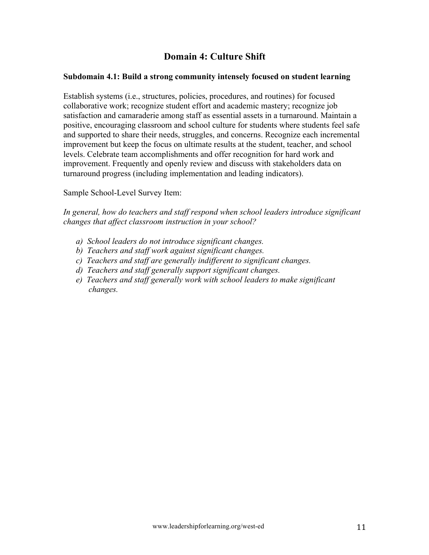# **Domain 4: Culture Shift**

### **Subdomain 4.1: Build a strong community intensely focused on student learning**

Establish systems (i.e., structures, policies, procedures, and routines) for focused collaborative work; recognize student effort and academic mastery; recognize job satisfaction and camaraderie among staff as essential assets in a turnaround. Maintain a positive, encouraging classroom and school culture for students where students feel safe and supported to share their needs, struggles, and concerns. Recognize each incremental improvement but keep the focus on ultimate results at the student, teacher, and school levels. Celebrate team accomplishments and offer recognition for hard work and improvement. Frequently and openly review and discuss with stakeholders data on turnaround progress (including implementation and leading indicators).

Sample School-Level Survey Item:

*In general, how do teachers and staff respond when school leaders introduce significant changes that affect classroom instruction in your school?*

- *a) School leaders do not introduce significant changes.*
- *b) Teachers and staff work against significant changes.*
- *c) Teachers and staff are generally indifferent to significant changes.*
- *d) Teachers and staff generally support significant changes.*
- *e) Teachers and staff generally work with school leaders to make significant changes.*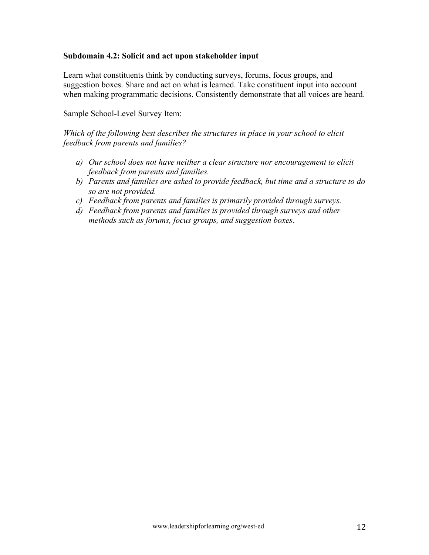### **Subdomain 4.2: Solicit and act upon stakeholder input**

Learn what constituents think by conducting surveys, forums, focus groups, and suggestion boxes. Share and act on what is learned. Take constituent input into account when making programmatic decisions. Consistently demonstrate that all voices are heard.

Sample School-Level Survey Item:

*Which of the following best describes the structures in place in your school to elicit feedback from parents and families?*

- *a) Our school does not have neither a clear structure nor encouragement to elicit feedback from parents and families.*
- *b) Parents and families are asked to provide feedback, but time and a structure to do so are not provided.*
- *c) Feedback from parents and families is primarily provided through surveys.*
- *d) Feedback from parents and families is provided through surveys and other methods such as forums, focus groups, and suggestion boxes.*